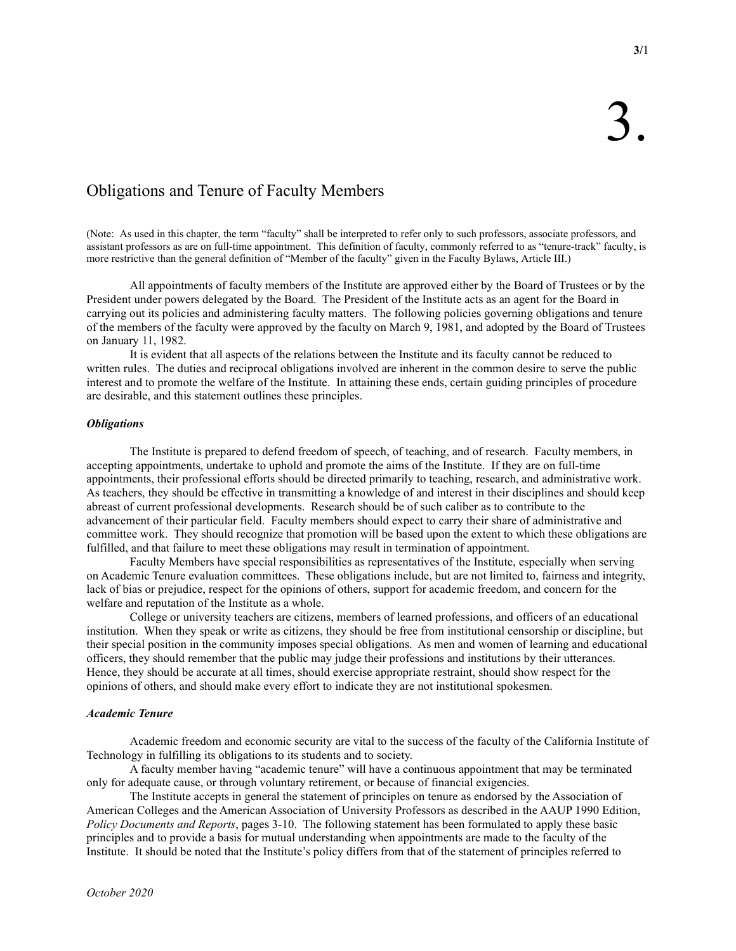# Obligations and Tenure of Faculty Members

(Note: As used in this chapter, the term "faculty" shall be interpreted to refer only to such professors, associate professors, and assistant professors as are on full-time appointment. This definition of faculty, commonly referred to as "tenure-track" faculty, is more restrictive than the general definition of "Member of the faculty" given in the Faculty Bylaws, Article III.)

 All appointments of faculty members of the Institute are approved either by the Board of Trustees or by the President under powers delegated by the Board. The President of the Institute acts as an agent for the Board in carrying out its policies and administering faculty matters. The following policies governing obligations and tenure of the members of the faculty were approved by the faculty on March 9, 1981, and adopted by the Board of Trustees on January 11, 1982.

 It is evident that all aspects of the relations between the Institute and its faculty cannot be reduced to written rules. The duties and reciprocal obligations involved are inherent in the common desire to serve the public interest and to promote the welfare of the Institute. In attaining these ends, certain guiding principles of procedure are desirable, and this statement outlines these principles.

## **Obligations**

 The Institute is prepared to defend freedom of speech, of teaching, and of research. Faculty members, in accepting appointments, undertake to uphold and promote the aims of the Institute. If they are on full-time appointments, their professional efforts should be directed primarily to teaching, research, and administrative work. As teachers, they should be effective in transmitting a knowledge of and interest in their disciplines and should keep abreast of current professional developments. Research should be of such caliber as to contribute to the advancement of their particular field. Faculty members should expect to carry their share of administrative and committee work. They should recognize that promotion will be based upon the extent to which these obligations are fulfilled, and that failure to meet these obligations may result in termination of appointment.

 Faculty Members have special responsibilities as representatives of the Institute, especially when serving on Academic Tenure evaluation committees. These obligations include, but are not limited to, fairness and integrity, lack of bias or prejudice, respect for the opinions of others, support for academic freedom, and concern for the welfare and reputation of the Institute as a whole.

 College or university teachers are citizens, members of learned professions, and officers of an educational institution. When they speak or write as citizens, they should be free from institutional censorship or discipline, but their special position in the community imposes special obligations. As men and women of learning and educational officers, they should remember that the public may judge their professions and institutions by their utterances. Hence, they should be accurate at all times, should exercise appropriate restraint, should show respect for the opinions of others, and should make every effort to indicate they are not institutional spokesmen.

# Academic Tenure

 Academic freedom and economic security are vital to the success of the faculty of the California Institute of Technology in fulfilling its obligations to its students and to society.

 A faculty member having "academic tenure" will have a continuous appointment that may be terminated only for adequate cause, or through voluntary retirement, or because of financial exigencies.

 The Institute accepts in general the statement of principles on tenure as endorsed by the Association of American Colleges and the American Association of University Professors as described in the AAUP 1990 Edition, Policy Documents and Reports, pages 3-10. The following statement has been formulated to apply these basic principles and to provide a basis for mutual understanding when appointments are made to the faculty of the Institute. It should be noted that the Institute's policy differs from that of the statement of principles referred to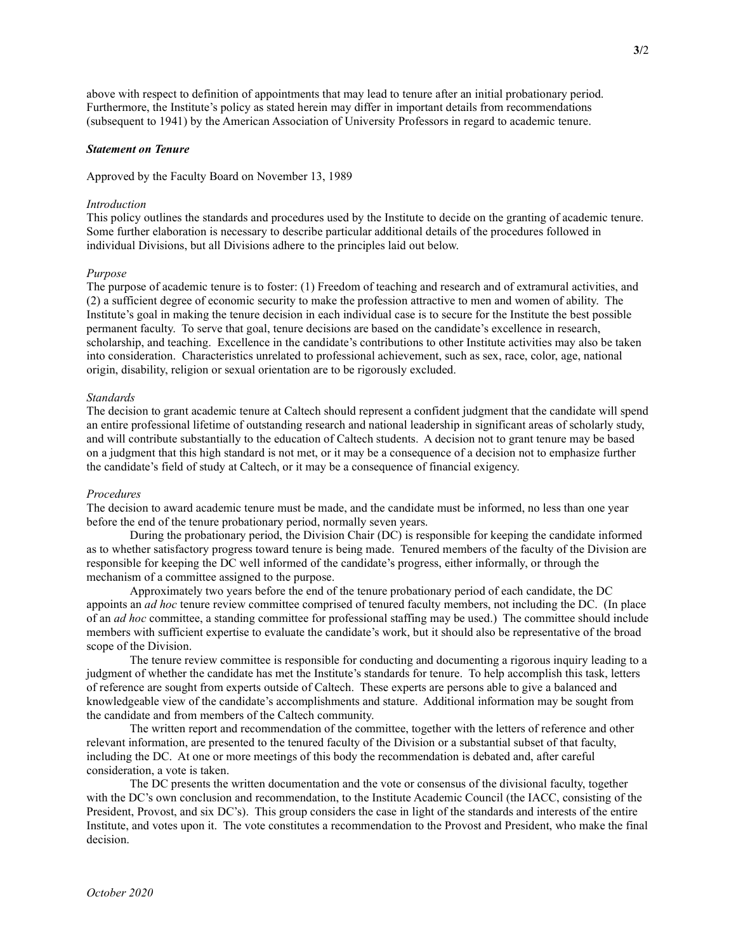above with respect to definition of appointments that may lead to tenure after an initial probationary period. Furthermore, the Institute's policy as stated herein may differ in important details from recommendations (subsequent to 1941) by the American Association of University Professors in regard to academic tenure.

#### Statement on Tenure

Approved by the Faculty Board on November 13, 1989

#### Introduction

This policy outlines the standards and procedures used by the Institute to decide on the granting of academic tenure. Some further elaboration is necessary to describe particular additional details of the procedures followed in individual Divisions, but all Divisions adhere to the principles laid out below.

## Purpose

The purpose of academic tenure is to foster: (1) Freedom of teaching and research and of extramural activities, and (2) a sufficient degree of economic security to make the profession attractive to men and women of ability. The Institute's goal in making the tenure decision in each individual case is to secure for the Institute the best possible permanent faculty. To serve that goal, tenure decisions are based on the candidate's excellence in research, scholarship, and teaching. Excellence in the candidate's contributions to other Institute activities may also be taken into consideration. Characteristics unrelated to professional achievement, such as sex, race, color, age, national origin, disability, religion or sexual orientation are to be rigorously excluded.

#### Standards

The decision to grant academic tenure at Caltech should represent a confident judgment that the candidate will spend an entire professional lifetime of outstanding research and national leadership in significant areas of scholarly study, and will contribute substantially to the education of Caltech students. A decision not to grant tenure may be based on a judgment that this high standard is not met, or it may be a consequence of a decision not to emphasize further the candidate's field of study at Caltech, or it may be a consequence of financial exigency.

## Procedures

The decision to award academic tenure must be made, and the candidate must be informed, no less than one year before the end of the tenure probationary period, normally seven years.

 During the probationary period, the Division Chair (DC) is responsible for keeping the candidate informed as to whether satisfactory progress toward tenure is being made. Tenured members of the faculty of the Division are responsible for keeping the DC well informed of the candidate's progress, either informally, or through the mechanism of a committee assigned to the purpose.

 Approximately two years before the end of the tenure probationary period of each candidate, the DC appoints an *ad hoc* tenure review committee comprised of tenured faculty members, not including the DC. (In place of an *ad hoc* committee, a standing committee for professional staffing may be used.) The committee should include members with sufficient expertise to evaluate the candidate's work, but it should also be representative of the broad scope of the Division.

 The tenure review committee is responsible for conducting and documenting a rigorous inquiry leading to a judgment of whether the candidate has met the Institute's standards for tenure. To help accomplish this task, letters of reference are sought from experts outside of Caltech. These experts are persons able to give a balanced and knowledgeable view of the candidate's accomplishments and stature. Additional information may be sought from the candidate and from members of the Caltech community.

 The written report and recommendation of the committee, together with the letters of reference and other relevant information, are presented to the tenured faculty of the Division or a substantial subset of that faculty, including the DC. At one or more meetings of this body the recommendation is debated and, after careful consideration, a vote is taken.

 The DC presents the written documentation and the vote or consensus of the divisional faculty, together with the DC's own conclusion and recommendation, to the Institute Academic Council (the IACC, consisting of the President, Provost, and six DC's). This group considers the case in light of the standards and interests of the entire Institute, and votes upon it. The vote constitutes a recommendation to the Provost and President, who make the final decision.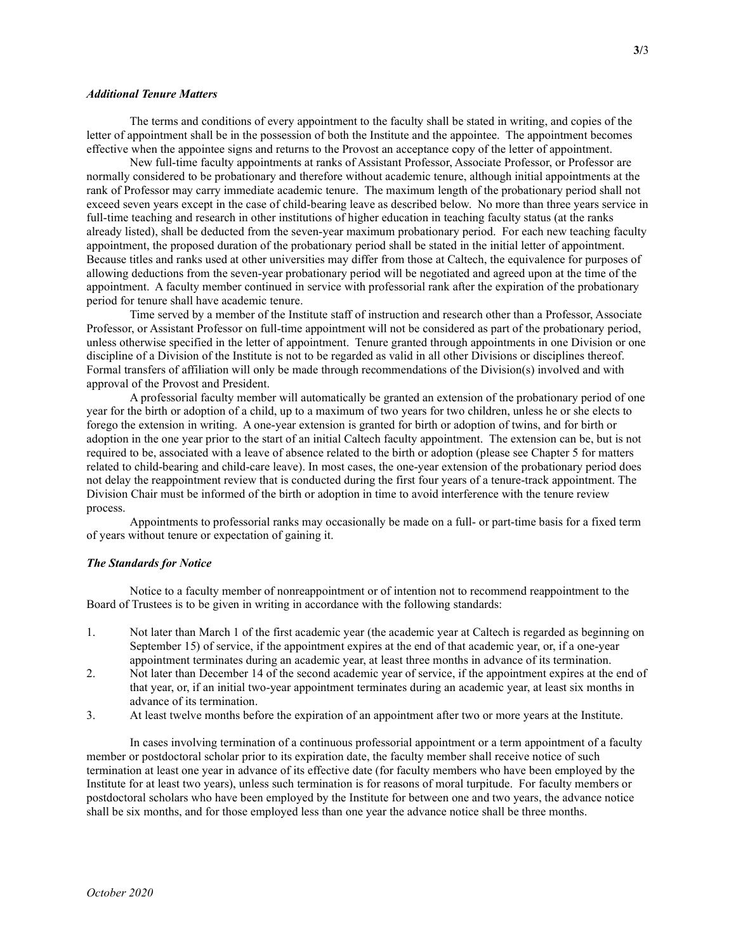# Additional Tenure Matters

 The terms and conditions of every appointment to the faculty shall be stated in writing, and copies of the letter of appointment shall be in the possession of both the Institute and the appointee. The appointment becomes effective when the appointee signs and returns to the Provost an acceptance copy of the letter of appointment.

 New full-time faculty appointments at ranks of Assistant Professor, Associate Professor, or Professor are normally considered to be probationary and therefore without academic tenure, although initial appointments at the rank of Professor may carry immediate academic tenure. The maximum length of the probationary period shall not exceed seven years except in the case of child-bearing leave as described below. No more than three years service in full-time teaching and research in other institutions of higher education in teaching faculty status (at the ranks already listed), shall be deducted from the seven-year maximum probationary period. For each new teaching faculty appointment, the proposed duration of the probationary period shall be stated in the initial letter of appointment. Because titles and ranks used at other universities may differ from those at Caltech, the equivalence for purposes of allowing deductions from the seven-year probationary period will be negotiated and agreed upon at the time of the appointment. A faculty member continued in service with professorial rank after the expiration of the probationary period for tenure shall have academic tenure.

 Time served by a member of the Institute staff of instruction and research other than a Professor, Associate Professor, or Assistant Professor on full-time appointment will not be considered as part of the probationary period, unless otherwise specified in the letter of appointment. Tenure granted through appointments in one Division or one discipline of a Division of the Institute is not to be regarded as valid in all other Divisions or disciplines thereof. Formal transfers of affiliation will only be made through recommendations of the Division(s) involved and with approval of the Provost and President.

 A professorial faculty member will automatically be granted an extension of the probationary period of one year for the birth or adoption of a child, up to a maximum of two years for two children, unless he or she elects to forego the extension in writing. A one-year extension is granted for birth or adoption of twins, and for birth or adoption in the one year prior to the start of an initial Caltech faculty appointment. The extension can be, but is not required to be, associated with a leave of absence related to the birth or adoption (please see Chapter 5 for matters related to child-bearing and child-care leave). In most cases, the one-year extension of the probationary period does not delay the reappointment review that is conducted during the first four years of a tenure-track appointment. The Division Chair must be informed of the birth or adoption in time to avoid interference with the tenure review process.

 Appointments to professorial ranks may occasionally be made on a full- or part-time basis for a fixed term of years without tenure or expectation of gaining it.

#### The Standards for Notice

 Notice to a faculty member of nonreappointment or of intention not to recommend reappointment to the Board of Trustees is to be given in writing in accordance with the following standards:

- 1. Not later than March 1 of the first academic year (the academic year at Caltech is regarded as beginning on September 15) of service, if the appointment expires at the end of that academic year, or, if a one-year appointment terminates during an academic year, at least three months in advance of its termination.
- 2. Not later than December 14 of the second academic year of service, if the appointment expires at the end of that year, or, if an initial two-year appointment terminates during an academic year, at least six months in advance of its termination.
- 3. At least twelve months before the expiration of an appointment after two or more years at the Institute.

 In cases involving termination of a continuous professorial appointment or a term appointment of a faculty member or postdoctoral scholar prior to its expiration date, the faculty member shall receive notice of such termination at least one year in advance of its effective date (for faculty members who have been employed by the Institute for at least two years), unless such termination is for reasons of moral turpitude. For faculty members or postdoctoral scholars who have been employed by the Institute for between one and two years, the advance notice shall be six months, and for those employed less than one year the advance notice shall be three months.